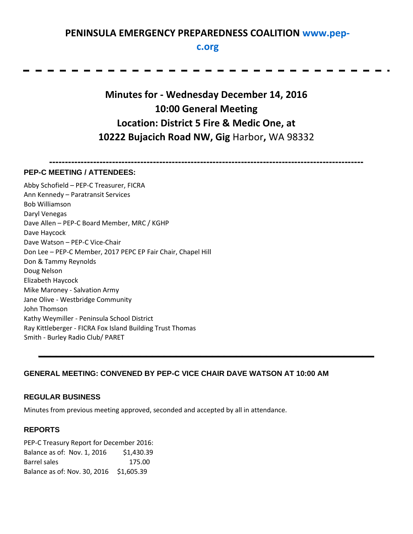# **PENINSULA EMERGENCY PREPAREDNESS COALITION [www.pep-](http://www.pep-c.org/)**

### **[c.org](http://www.pep-c.org/)**

**Minutes for - Wednesday December 14, 2016 10:00 General Meeting Location: District 5 Fire & Medic One, at 10222 Bujacich Road NW, Gig** Harbor**,** WA 98332

**----------------------------------------------------------------------------------------------------**

#### **PEP-C MEETING / ATTENDEES:**

Abby Schofield – PEP-C Treasurer, FICRA Ann Kennedy – Paratransit Services Bob Williamson Daryl Venegas Dave Allen – PEP-C Board Member, MRC / KGHP Dave Haycock Dave Watson – PEP-C Vice-Chair Don Lee – PEP-C Member, 2017 PEPC EP Fair Chair, Chapel Hill Don & Tammy Reynolds Doug Nelson Elizabeth Haycock Mike Maroney - Salvation Army Jane Olive - Westbridge Community John Thomson Kathy Weymiller - Peninsula School District Ray Kittleberger - FICRA Fox Island Building Trust Thomas Smith - Burley Radio Club/ PARET

#### **GENERAL MEETING: CONVENED BY PEP-C VICE CHAIR DAVE WATSON AT 10:00 AM**

**\_\_\_\_\_\_\_\_\_\_\_\_\_\_\_\_\_\_\_\_\_\_\_\_\_\_\_\_\_\_\_\_\_\_\_\_\_\_\_\_\_\_\_\_\_\_\_\_\_\_\_\_\_\_\_\_**

#### **REGULAR BUSINESS**

Minutes from previous meeting approved, seconded and accepted by all in attendance.

#### **REPORTS**

PEP-C Treasury Report for December 2016: Balance as of: Nov. 1, 2016 \$1,430.39 Barrel sales 175.00 Balance as of: Nov. 30, 2016 \$1,605.39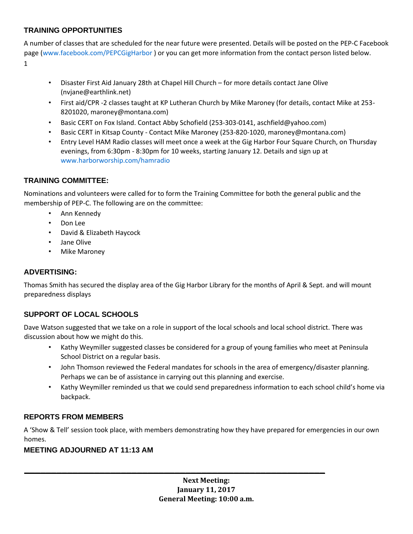# **TRAINING OPPORTUNITIES**

A number of classes that are scheduled for the near future were presented. Details will be posted on the PEP-C Facebook page [\(www.facebook.com/PEPCGigHarbor](http://www.facebook.com/PEPCGigHarbor) ) or you can get more information from the contact person listed below. 1

- Disaster First Aid January 28th at Chapel Hill Church for more details contact Jane Olive (nvjane@earthlink.net)
- First aid/CPR -2 classes taught at KP Lutheran Church by Mike Maroney (for details, contact Mike at 253- 8201020, maroney@montana.com)
- Basic CERT on Fox Island. Contact Abby Schofield (253-303-0141, aschfield@yahoo.com)
- Basic CERT in Kitsap County Contact Mike Maroney (253-820-1020, maroney@montana.com)
- Entry Level HAM Radio classes will meet once a week at the Gig Harbor Four Square Church, on Thursday evenings, from 6:30pm - 8:30pm for 10 weeks, starting January 12. Details and sign up at [www.harborworship.com/hamradio](http://www.harborworship.com/hamradio)

# **TRAINING COMMITTEE:**

Nominations and volunteers were called for to form the Training Committee for both the general public and the membership of PEP-C. The following are on the committee:

- Ann Kennedy
- Don Lee
- David & Elizabeth Haycock
- Jane Olive
- Mike Maroney

# **ADVERTISING:**

Thomas Smith has secured the display area of the Gig Harbor Library for the months of April & Sept. and will mount preparedness displays

# **SUPPORT OF LOCAL SCHOOLS**

Dave Watson suggested that we take on a role in support of the local schools and local school district. There was discussion about how we might do this.

- Kathy Weymiller suggested classes be considered for a group of young families who meet at Peninsula School District on a regular basis.
- John Thomson reviewed the Federal mandates for schools in the area of emergency/disaster planning. Perhaps we can be of assistance in carrying out this planning and exercise.
- Kathy Weymiller reminded us that we could send preparedness information to each school child's home via backpack.

#### **REPORTS FROM MEMBERS**

A 'Show & Tell' session took place, with members demonstrating how they have prepared for emergencies in our own homes.

**\_\_\_\_\_\_\_\_\_\_\_\_\_\_\_\_\_\_\_\_\_\_\_\_\_\_\_\_\_\_\_\_\_\_\_\_\_\_\_\_\_\_\_\_\_\_\_\_\_\_\_\_\_\_\_\_**

#### **MEETING ADJOURNED AT 11:13 AM**

**Next Meeting: January 11, 2017 General Meeting: 10:00 a.m.**